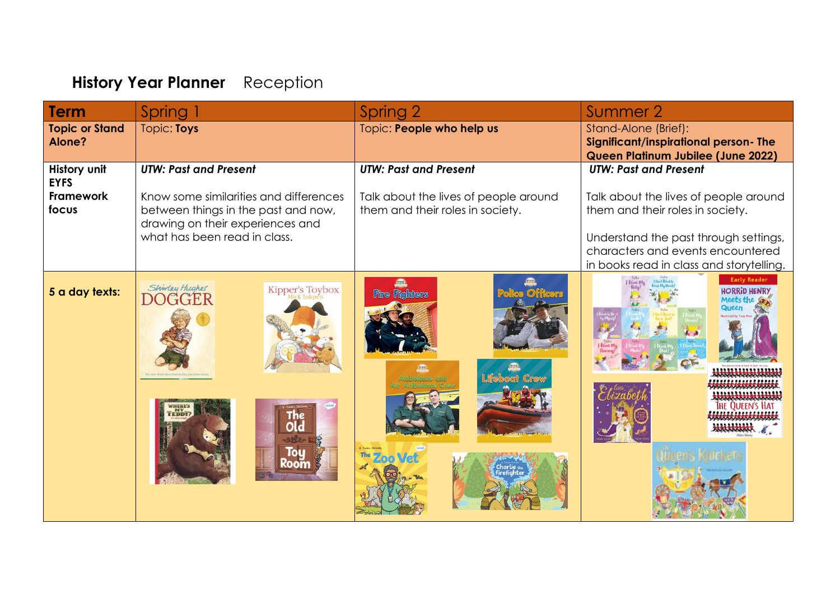## **History Year Planner** Reception

| <b>Term</b>                     | Spring                                                                                                            | Spring 2                                                                  | Summer 2                                                                                                               |
|---------------------------------|-------------------------------------------------------------------------------------------------------------------|---------------------------------------------------------------------------|------------------------------------------------------------------------------------------------------------------------|
| <b>Topic or Stand</b><br>Alone? | Topic: Toys                                                                                                       | Topic: People who help us                                                 | Stand-Alone (Brief):<br>Significant/inspirational person- The<br>Queen Platinum Jubilee (June 2022)                    |
| History unit<br><b>EYFS</b>     | <b>UTW: Past and Present</b>                                                                                      | <b>UTW: Past and Present</b>                                              | <b>UTW: Past and Present</b>                                                                                           |
| Framework<br>focus              | Know some similarities and differences<br>between things in the past and now,<br>drawing on their experiences and | Talk about the lives of people around<br>them and their roles in society. | Talk about the lives of people around<br>them and their roles in society.                                              |
|                                 | what has been read in class.                                                                                      |                                                                           | Understand the past through settings,<br>characters and events encountered<br>in books read in class and storytelling. |
| 5 a day texts:                  | Shinday Hughes<br>DOGGER<br>Kipper's Toybox                                                                       | <b>Fire Fighters</b>                                                      | <b>Early Reader</b><br><b>HORRID HENRY</b><br>Meets the                                                                |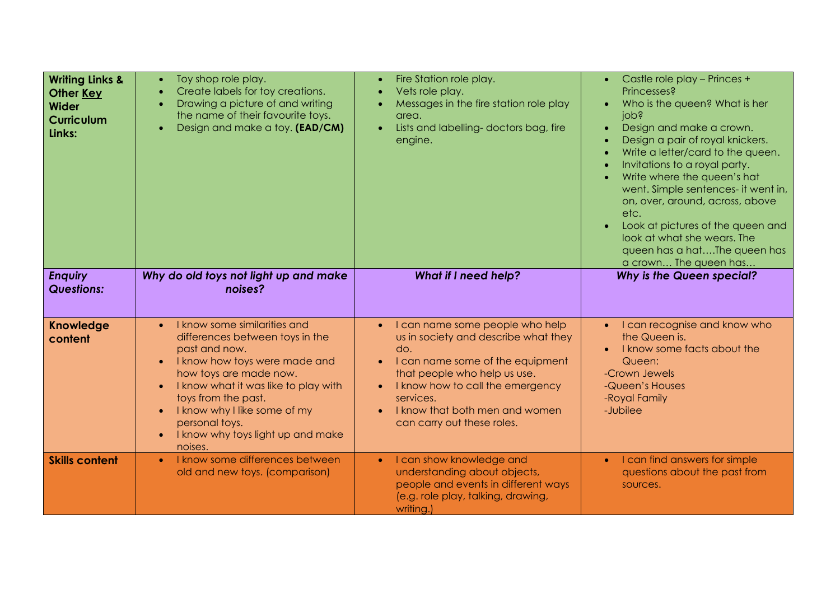| <b>Writing Links &amp;</b><br>Other Key<br><b>Wider</b><br><b>Curriculum</b><br>Links: | Toy shop role play.<br>$\bullet$<br>Create labels for toy creations.<br>$\bullet$<br>Drawing a picture of and writing<br>$\bullet$<br>the name of their favourite toys.<br>Design and make a toy. (EAD/CM)<br>$\bullet$                                                                                                                                          | Fire Station role play.<br>Vets role play.<br>$\bullet$<br>Messages in the fire station role play<br>area.<br>Lists and labelling-doctors bag, fire<br>$\bullet$<br>engine.                                                                                         | Castle role play - Princes +<br>Princesses?<br>Who is the queen? What is her<br>jops<br>Design and make a crown.<br>Design a pair of royal knickers.<br>Write a letter/card to the queen.<br>Invitations to a royal party.<br>Write where the queen's hat<br>went. Simple sentences- it went in,<br>on, over, around, across, above<br>etc.<br>Look at pictures of the queen and<br>look at what she wears. The<br>queen has a hatThe queen has<br>a crown The queen has |
|----------------------------------------------------------------------------------------|------------------------------------------------------------------------------------------------------------------------------------------------------------------------------------------------------------------------------------------------------------------------------------------------------------------------------------------------------------------|---------------------------------------------------------------------------------------------------------------------------------------------------------------------------------------------------------------------------------------------------------------------|--------------------------------------------------------------------------------------------------------------------------------------------------------------------------------------------------------------------------------------------------------------------------------------------------------------------------------------------------------------------------------------------------------------------------------------------------------------------------|
| <b>Enquiry</b><br><b>Questions:</b>                                                    | Why do old toys not light up and make<br>noises?                                                                                                                                                                                                                                                                                                                 | <b>What if I need help?</b>                                                                                                                                                                                                                                         | <b>Why is the Queen special?</b>                                                                                                                                                                                                                                                                                                                                                                                                                                         |
| <b>Knowledge</b><br>content                                                            | I know some similarities and<br>$\bullet$<br>differences between toys in the<br>past and now.<br>I know how toys were made and<br>how toys are made now.<br>I know what it was like to play with<br>$\bullet$<br>toys from the past.<br>I know why I like some of my<br>$\bullet$<br>personal toys.<br>I know why toys light up and make<br>$\bullet$<br>noises. | I can name some people who help<br>us in society and describe what they<br>do.<br>I can name some of the equipment<br>that people who help us use.<br>I know how to call the emergency<br>services.<br>I know that both men and women<br>can carry out these roles. | • I can recognise and know who<br>the Queen is.<br>I know some facts about the<br>Queen:<br>-Crown Jewels<br>-Queen's Houses<br>-Royal Family<br>-Jubilee                                                                                                                                                                                                                                                                                                                |
| <b>Skills content</b>                                                                  | I know some differences between<br>$\bullet$<br>old and new toys. (comparison)                                                                                                                                                                                                                                                                                   | I can show knowledge and<br>$\bullet$<br>understanding about objects,<br>people and events in different ways<br>(e.g. role play, talking, drawing,<br>writing.)                                                                                                     | • I can find answers for simple<br>questions about the past from<br>sources.                                                                                                                                                                                                                                                                                                                                                                                             |